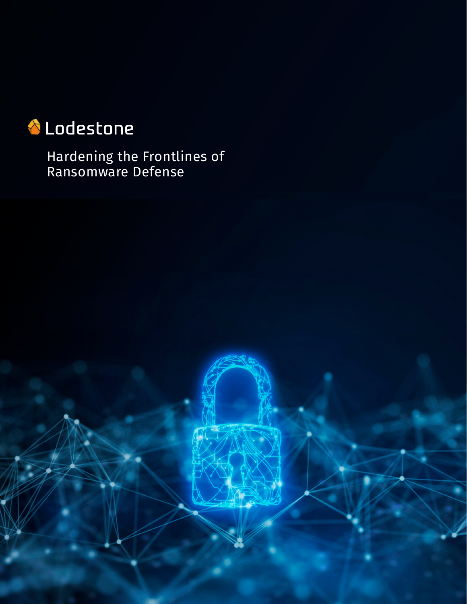# **T** Lodestone

Hardening the Frontlines of Ransomware Defense

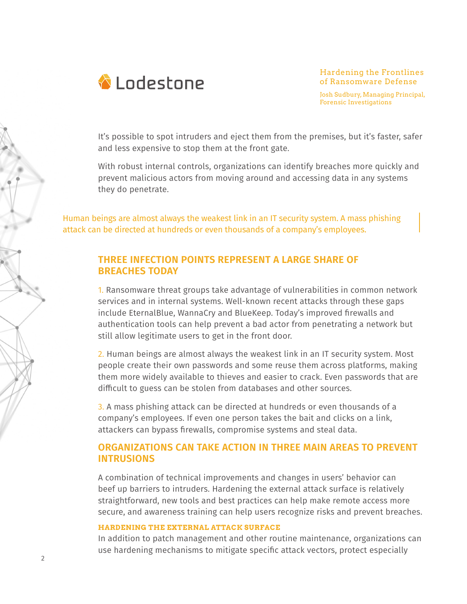

Hardening the Frontlines of Ransomware Defense

Josh Sudbury, Managing Principal, Forensic Investigations

It's possible to spot intruders and eject them from the premises, but it's faster, safer and less expensive to stop them at the front gate.

With robust internal controls, organizations can identify breaches more quickly and prevent malicious actors from moving around and accessing data in any systems they do penetrate.

Human beings are almost always the weakest link in an IT security system. A mass phishing attack can be directed at hundreds or even thousands of a company's employees.

## **THREE INFECTION POINTS REPRESENT A LARGE SHARE OF BREACHES TODAY**

1. Ransomware threat groups take advantage of vulnerabilities in common network services and in internal systems. Well-known recent attacks through these gaps include EternalBlue, WannaCry and BlueKeep. Today's improved firewalls and authentication tools can help prevent a bad actor from penetrating a network but still allow legitimate users to get in the front door.

2. Human beings are almost always the weakest link in an IT security system. Most people create their own passwords and some reuse them across platforms, making them more widely available to thieves and easier to crack. Even passwords that are difficult to guess can be stolen from databases and other sources.

3. A mass phishing attack can be directed at hundreds or even thousands of a company's employees. If even one person takes the bait and clicks on a link, attackers can bypass firewalls, compromise systems and steal data.

## **ORGANIZATIONS CAN TAKE ACTION IN THREE MAIN AREAS TO PREVENT INTRUSIONS**

A combination of technical improvements and changes in users' behavior can beef up barriers to intruders. Hardening the external attack surface is relatively straightforward, new tools and best practices can help make remote access more secure, and awareness training can help users recognize risks and prevent breaches.

### **HARDENING THE EXTERNAL ATTACK SURFACE**

In addition to patch management and other routine maintenance, organizations can use hardening mechanisms to mitigate specific attack vectors, protect especially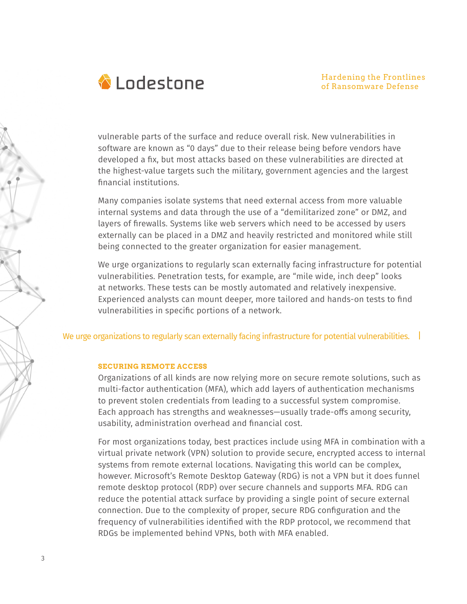

vulnerable parts of the surface and reduce overall risk. New vulnerabilities in software are known as "0 days" due to their release being before vendors have developed a fix, but most attacks based on these vulnerabilities are directed at the highest-value targets such the military, government agencies and the largest financial institutions.

Many companies isolate systems that need external access from more valuable internal systems and data through the use of a "demilitarized zone" or DMZ, and layers of firewalls. Systems like web servers which need to be accessed by users externally can be placed in a DMZ and heavily restricted and monitored while still being connected to the greater organization for easier management.

We urge organizations to regularly scan externally facing infrastructure for potential vulnerabilities. Penetration tests, for example, are "mile wide, inch deep" looks at networks. These tests can be mostly automated and relatively inexpensive. Experienced analysts can mount deeper, more tailored and hands-on tests to find vulnerabilities in specific portions of a network.

We urge organizations to regularly scan externally facing infrastructure for potential vulnerabilities. |

### **SECURING REMOTE ACCESS**

Organizations of all kinds are now relying more on secure remote solutions, such as multi-factor authentication (MFA), which add layers of authentication mechanisms to prevent stolen credentials from leading to a successful system compromise. Each approach has strengths and weaknesses—usually trade-offs among security, usability, administration overhead and financial cost.

For most organizations today, best practices include using MFA in combination with a virtual private network (VPN) solution to provide secure, encrypted access to internal systems from remote external locations. Navigating this world can be complex, however. Microsoft's Remote Desktop Gateway (RDG) is not a VPN but it does funnel remote desktop protocol (RDP) over secure channels and supports MFA. RDG can reduce the potential attack surface by providing a single point of secure external connection. Due to the complexity of proper, secure RDG configuration and the frequency of vulnerabilities identified with the RDP protocol, we recommend that RDGs be implemented behind VPNs, both with MFA enabled.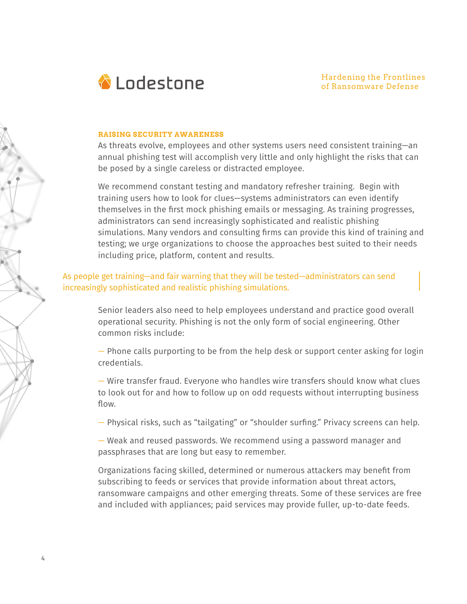

#### **RAISING SECURITY AWARENESS**

4

As threats evolve, employees and other systems users need consistent training—an annual phishing test will accomplish very little and only highlight the risks that can be posed by a single careless or distracted employee.

We recommend constant testing and mandatory refresher training. Begin with training users how to look for clues—systems administrators can even identify themselves in the first mock phishing emails or messaging. As training progresses, administrators can send increasingly sophisticated and realistic phishing simulations. Many vendors and consulting firms can provide this kind of training and testing; we urge organizations to choose the approaches best suited to their needs including price, platform, content and results.

## As people get training—and fair warning that they will be tested—administrators can send increasingly sophisticated and realistic phishing simulations.

Senior leaders also need to help employees understand and practice good overall operational security. Phishing is not the only form of social engineering. Other common risks include:

— Phone calls purporting to be from the help desk or support center asking for login credentials.

— Wire transfer fraud. Everyone who handles wire transfers should know what clues to look out for and how to follow up on odd requests without interrupting business flow.

— Physical risks, such as "tailgating" or "shoulder surfing." Privacy screens can help.

— Weak and reused passwords. We recommend using a password manager and passphrases that are long but easy to remember.

Organizations facing skilled, determined or numerous attackers may benefit from subscribing to feeds or services that provide information about threat actors, ransomware campaigns and other emerging threats. Some of these services are free and included with appliances; paid services may provide fuller, up-to-date feeds.